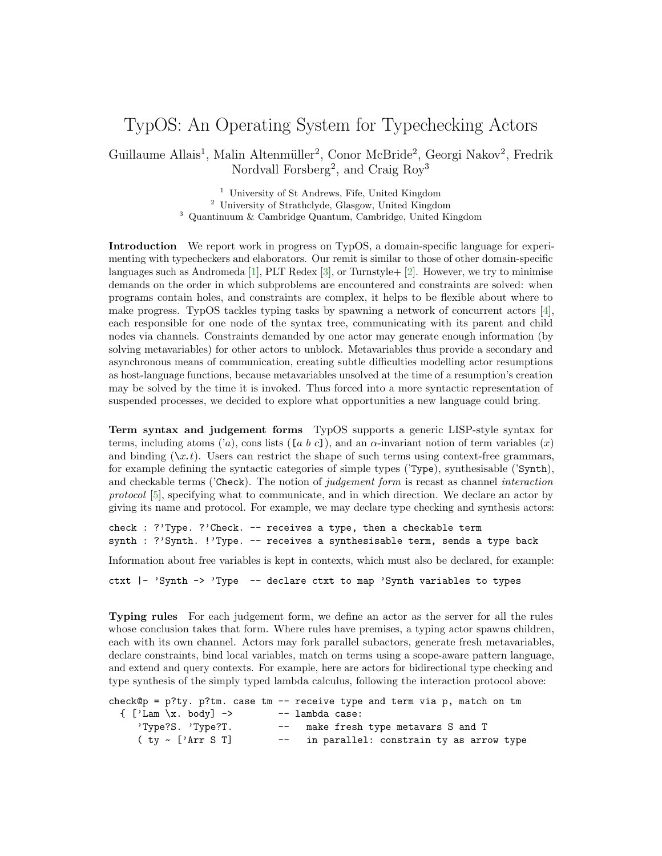## TypOS: An Operating System for Typechecking Actors

Guillaume Allais<sup>1</sup>, Malin Altenmüller<sup>2</sup>, Conor McBride<sup>2</sup>, Georgi Nakov<sup>2</sup>, Fredrik Nordvall Forsberg<sup>2</sup>, and Craig Roy<sup>3</sup>

> <sup>1</sup> University of St Andrews, Fife, United Kingdom <sup>2</sup> University of Strathclyde, Glasgow, United Kingdom <sup>3</sup> Quantinuum & Cambridge Quantum, Cambridge, United Kingdom

Introduction We report work in progress on TypOS, a domain-specific language for experimenting with typecheckers and elaborators. Our remit is similar to those of other domain-specific languages such as Andromeda [\[1\]](#page-2-0), PLT Redex [\[3\]](#page-2-1), or Turnstyle+ [\[2\]](#page-2-2). However, we try to minimise demands on the order in which subproblems are encountered and constraints are solved: when programs contain holes, and constraints are complex, it helps to be flexible about where to make progress. TypOS tackles typing tasks by spawning a network of concurrent actors [\[4\]](#page-2-3), each responsible for one node of the syntax tree, communicating with its parent and child nodes via channels. Constraints demanded by one actor may generate enough information (by solving metavariables) for other actors to unblock. Metavariables thus provide a secondary and asynchronous means of communication, creating subtle difficulties modelling actor resumptions as host-language functions, because metavariables unsolved at the time of a resumption's creation may be solved by the time it is invoked. Thus forced into a more syntactic representation of suspended processes, we decided to explore what opportunities a new language could bring.

Term syntax and judgement forms TypOS supports a generic LISP-style syntax for terms, including atoms ('a), cons lists ([a b c]), and an  $\alpha$ -invariant notion of term variables (x) and binding  $(\chi x.t)$ . Users can restrict the shape of such terms using context-free grammars, for example defining the syntactic categories of simple types ('Type), synthesisable ('Synth), and checkable terms ('Check). The notion of judgement form is recast as channel interaction protocol [\[5\]](#page-2-4), specifying what to communicate, and in which direction. We declare an actor by giving its name and protocol. For example, we may declare type checking and synthesis actors:

check : ?'Type. ?'Check. -- receives a type, then a checkable term synth : ?'Synth. !'Type. -- receives a synthesisable term, sends a type back

Information about free variables is kept in contexts, which must also be declared, for example:

ctxt |- 'Synth -> 'Type -- declare ctxt to map 'Synth variables to types

Typing rules For each judgement form, we define an actor as the server for all the rules whose conclusion takes that form. Where rules have premises, a typing actor spawns children, each with its own channel. Actors may fork parallel subactors, generate fresh metavariables, declare constraints, bind local variables, match on terms using a scope-aware pattern language, and extend and query contexts. For example, here are actors for bidirectional type checking and type synthesis of the simply typed lambda calculus, following the interaction protocol above:

|                              |                 | check@p = $p?ty$ . $p?tm$ . case tm -- receive type and term via p, match on tm |
|------------------------------|-----------------|---------------------------------------------------------------------------------|
| $\{$ ['Lam \x. body] ->      | -- lambda case: |                                                                                 |
| 'Type?S. 'Type?T.            |                 | -- make fresh type metavars S and T                                             |
| $(ty \sim [7.025 \text{ m}]$ |                 | in parallel: constrain ty as arrow type                                         |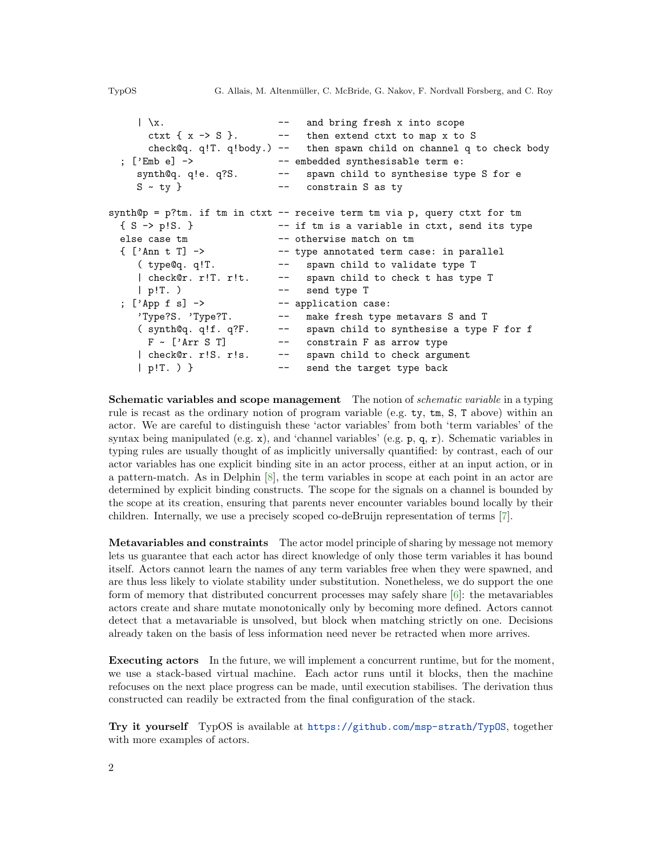```
|\ \ranglex. - and bring fresh x into scope
     ctxt \{ x \rightarrow S \}. -- then extend ctxt to map x to S
     check@q. q!T. q!body.) -- then spawn child on channel q to check body
 ; ['Emb e] -> -- embedded synthesisable term e:
    synth@q. q!e. q?S. -- spawn child to synthesise type S for e
    S - ty } --- constrain S as ty
synth@p = p?tm. if tm in ctxt -- receive term tm via p, query ctxt for tm
 { S -> p!S. } -- if tm is a variable in ctxt, send its type
 else case tm -- otherwise match on tm
 { ['Ann t T] -> -- type annotated term case: in parallel
    ( type@q. q!T. -- spawn child to validate type T
    | check@r. r!T. r!t. -- spawn child to check t has type T
    | p!T. ) -- send type T
 ; ['App f s] -> -- application case:
    'Type?S. 'Type?T. -- make fresh type metavars S and T
    ( synth@q. q!f. q?F. -- spawn child to synthesise a type F for f
     F \sim ['Arr S T] -- constrain F as arrow type
    | check@r. r!S. r!s. -- spawn child to check argument
    | p!T. ) } -- send the target type back
```
Schematic variables and scope management The notion of *schematic variable* in a typing rule is recast as the ordinary notion of program variable (e.g. ty, tm, S, T above) within an actor. We are careful to distinguish these 'actor variables' from both 'term variables' of the syntax being manipulated (e.g. x), and 'channel variables' (e.g.  $\mathfrak{p}$ , q,  $\mathfrak{r}$ ). Schematic variables in typing rules are usually thought of as implicitly universally quantified: by contrast, each of our actor variables has one explicit binding site in an actor process, either at an input action, or in a pattern-match. As in Delphin [\[8\]](#page-2-5), the term variables in scope at each point in an actor are determined by explicit binding constructs. The scope for the signals on a channel is bounded by the scope at its creation, ensuring that parents never encounter variables bound locally by their children. Internally, we use a precisely scoped co-deBruijn representation of terms [\[7\]](#page-2-6).

Metavariables and constraints The actor model principle of sharing by message not memory lets us guarantee that each actor has direct knowledge of only those term variables it has bound itself. Actors cannot learn the names of any term variables free when they were spawned, and are thus less likely to violate stability under substitution. Nonetheless, we do support the one form of memory that distributed concurrent processes may safely share [\[6\]](#page-2-7): the metavariables actors create and share mutate monotonically only by becoming more defined. Actors cannot detect that a metavariable is unsolved, but block when matching strictly on one. Decisions already taken on the basis of less information need never be retracted when more arrives.

Executing actors In the future, we will implement a concurrent runtime, but for the moment, we use a stack-based virtual machine. Each actor runs until it blocks, then the machine refocuses on the next place progress can be made, until execution stabilises. The derivation thus constructed can readily be extracted from the final configuration of the stack.

Try it yourself TypOS is available at <https://github.com/msp-strath/TypOS>, together with more examples of actors.